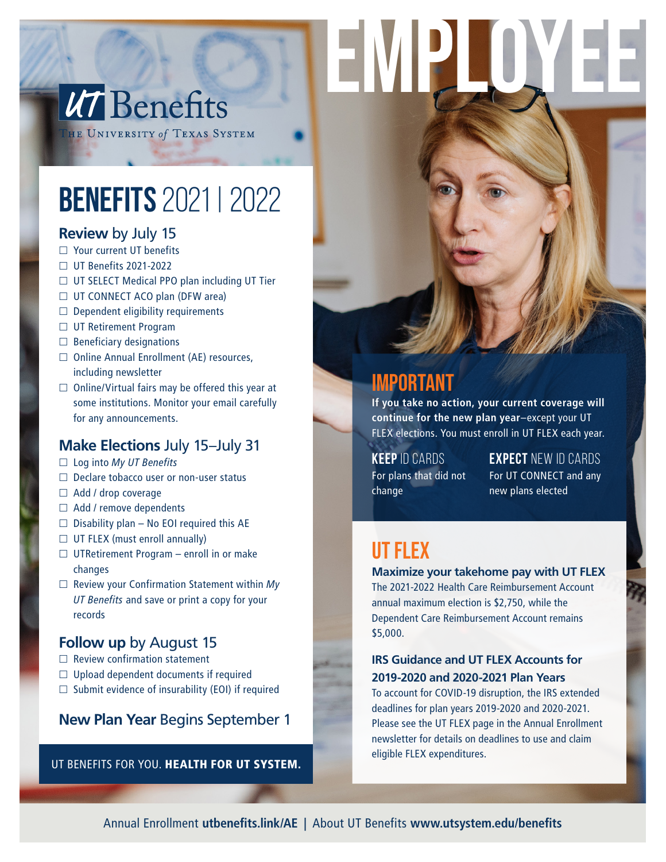# UT Benefits

HE UNIVERSITY of TEXAS SYSTEM

## BENEFITS 2021 | 2022

#### **Review** by July 15

- □ Your current UT benefits
- UT Benefits 2021-2022
- □ UT SELECT Medical PPO plan including UT Tier
- $\Box$  UT CONNECT ACO plan (DFW area)
- $\Box$  Dependent eligibility requirements
- □ UT Retirement Program
- $\Box$  Beneficiary designations
- $\Box$  Online Annual Enrollment (AE) resources, including newsletter
- $\Box$  Online/Virtual fairs may be offered this year at some institutions. Monitor your email carefully for any announcements.

#### **Make Elections** July 15–July 31

- Log into *My UT Benefits*
- $\Box$  Declare tobacco user or non-user status
- $\Box$  Add / drop coverage
- $\Box$  Add / remove dependents
- $\Box$  Disability plan No EOI required this AE
- $\Box$  UT FLEX (must enroll annually)
- $\Box$  UTRetirement Program enroll in or make changes
- Review your Confirmation Statement within *My UT Benefits* and save or print a copy for your records

#### **Follow up** by August 15

- $\Box$  Review confirmation statement
- $\Box$  Upload dependent documents if required
- $\square$  Submit evidence of insurability (EOI) if required

#### **New Plan Year** Begins September 1

UT BENEFITS FOR YOU. HEALTH FOR UT SYSTEM.

### Important

EMPI

**If you take no action, your current coverage will continue for the new plan year**–except your UT FLEX elections. You must enroll in UT FLEX each year.

**KEEP** ID CARDS For plans that did not change

**EXPECT** NEW ID CARDS For UT CONNECT and any new plans elected

### ut flex

#### **Maximize your takehome pay with UT FLEX**

The 2021-2022 Health Care Reimbursement Account annual maximum election is \$2,750, while the Dependent Care Reimbursement Account remains \$5,000.

#### **IRS Guidance and UT FLEX Accounts for 2019-2020 and 2020-2021 Plan Years**

To account for COVID-19 disruption, the IRS extended deadlines for plan years 2019-2020 and 2020-2021. Please see the UT FLEX page in the Annual Enrollment newsletter for details on deadlines to use and claim eligible FLEX expenditures.

Annual Enrollment **utbenefits.link/AE |** About UT Benefits **www.utsystem.edu/benefits**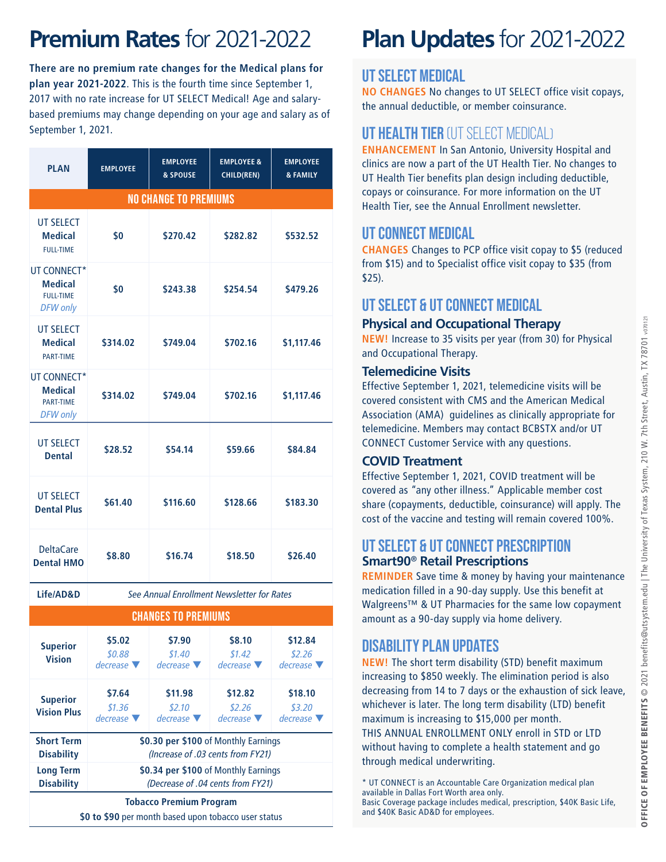### **Premium Rates** for 2021-2022

**There are no premium rate changes for the Medical plans for plan year 2021-2022**. This is the fourth time since September 1, 2017 with no rate increase for UT SELECT Medical! Age and salarybased premiums may change depending on your age and salary as of September 1, 2021.

| <b>PLAN</b>                                                          | <b>EMPLOYEE</b> | <b>EMPLOYEE</b><br>& SPOUSE | <b>EMPLOYEE &amp;</b><br>CHILD(REN) | <b>EMPLOYEE</b><br><b>&amp; FAMILY</b> |  |  |  |  |
|----------------------------------------------------------------------|-----------------|-----------------------------|-------------------------------------|----------------------------------------|--|--|--|--|
| <b>NO CHANGE TO PREMIUMS</b>                                         |                 |                             |                                     |                                        |  |  |  |  |
| <b>UT SELECT</b><br><b>Medical</b><br><b>FULL-TIME</b>               | \$0             | \$270.42                    | \$282.82                            | \$532.52                               |  |  |  |  |
| UT CONNECT*<br><b>Medical</b><br><b>FULL-TIME</b><br><b>DFW</b> only | \$0             | \$243.38                    | \$254.54                            | \$479.26                               |  |  |  |  |
| <b>UT SELECT</b><br><b>Medical</b><br><b>PART-TIME</b>               | \$314.02        | \$749.04                    | \$702.16                            | \$1,117.46                             |  |  |  |  |
| UT CONNECT*<br><b>Medical</b><br><b>PART-TIME</b><br><b>DFW</b> only | \$314.02        | \$749.04                    | \$702.16                            | \$1,117.46                             |  |  |  |  |
| UT SFI FCT<br><b>Dental</b>                                          | \$28.52         | \$54.14                     | \$59.66                             | \$84.84                                |  |  |  |  |
| <b>UT SELECT</b><br><b>Dental Plus</b>                               | \$61.40         | \$116.60                    | \$128.66                            | \$183.30                               |  |  |  |  |
| <b>DeltaCare</b><br><b>Dental HMO</b>                                | \$8.80          | \$16.74                     | \$18.50                             | \$26.40                                |  |  |  |  |

**Life/AD&D** *See Annual Enrollment Newsletter for Rates*

| <b>CHANGES TO PREMIUMS</b>             |                                                                           |                                                                           |                                        |                                        |  |
|----------------------------------------|---------------------------------------------------------------------------|---------------------------------------------------------------------------|----------------------------------------|----------------------------------------|--|
| <b>Superior</b><br><b>Vision</b>       | \$5.02<br>\$0.88<br>$decrease \nabla$                                     | \$7.90<br>\$1.40<br>$decrease \nabla$                                     | \$8.10<br>\$1.42<br>$decrease \nabla$  | \$12.84<br>\$2.26<br>$decrease \nabla$ |  |
| <b>Superior</b><br><b>Vision Plus</b>  | \$7.64<br>\$1.36<br>$decrease \nabla$                                     | \$11.98<br>\$2.10<br>$decrease \nabla$                                    | \$12.82<br>\$2.26<br>$decrease \nabla$ | \$18.10<br>\$3.20<br>$decrease \nabla$ |  |
| <b>Short Term</b><br><b>Disability</b> |                                                                           | \$0.30 per \$100 of Monthly Earnings<br>(Increase of .03 cents from FY21) |                                        |                                        |  |
| <b>Long Term</b><br><b>Disability</b>  | \$0.34 per \$100 of Monthly Earnings<br>(Decrease of .04 cents from FY21) |                                                                           |                                        |                                        |  |
| <b>Tobacco Premium Program</b>         |                                                                           |                                                                           |                                        |                                        |  |

**\$0 to \$90** per month based upon tobacco user status

## **Plan Updates** for 2021-2022

#### UT SELECT Medical

**NO CHANGES** No changes to UT SELECT office visit copays, the annual deductible, or member coinsurance.

#### UT Health Tier (UT SELECT Medical)

**ENHANCEMENT** In San Antonio, University Hospital and clinics are now a part of the UT Health Tier. No changes to UT Health Tier benefits plan design including deductible, copays or coinsurance. For more information on the UT Health Tier, see the Annual Enrollment newsletter.

#### UT CONNECT Medical

**CHANGES** Changes to PCP office visit copay to \$5 (reduced from \$15) and to Specialist office visit copay to \$35 (from  $$25$ ).

#### UT SELECT & UT CONNECT Medical

#### **Physical and Occupational Therapy**

**NEW!** Increase to 35 visits per year (from 30) for Physical and Occupational Therapy.

#### **Telemedicine Visits**

Effective September 1, 2021, telemedicine visits will be covered consistent with CMS and the American Medical Association (AMA) guidelines as clinically appropriate for telemedicine. Members may contact BCBSTX and/or UT CONNECT Customer Service with any questions.

#### **COVID Treatment**

Effective September 1, 2021, COVID treatment will be covered as "any other illness." Applicable member cost share (copayments, deductible, coinsurance) will apply. The cost of the vaccine and testing will remain covered 100%.

#### UT SELECT & UT CONNECT Prescription **Smart90**® **Retail Prescriptions**

**REMINDER** Save time & money by having your maintenance medication filled in a 90-day supply. Use this benefit at Walgreens™ & UT Pharmacies for the same low copayment amount as a 90-day supply via home delivery.

#### Disability Plan Updates

**NEW!** The short term disability (STD) benefit maximum increasing to \$850 weekly. The elimination period is also decreasing from 14 to 7 days or the exhaustion of sick leave, whichever is later. The long term disability (LTD) benefit maximum is increasing to \$15,000 per month. THIS ANNUAL ENROLLMENT ONLY enroll in STD or LTD without having to complete a health statement and go through medical underwriting.

\* UT CONNECT is an Accountable Care Organization medical plan available in Dallas Fort Worth area only. Basic Coverage package includes medical, prescription, \$40K Basic Life, and \$40K Basic AD&D for employees.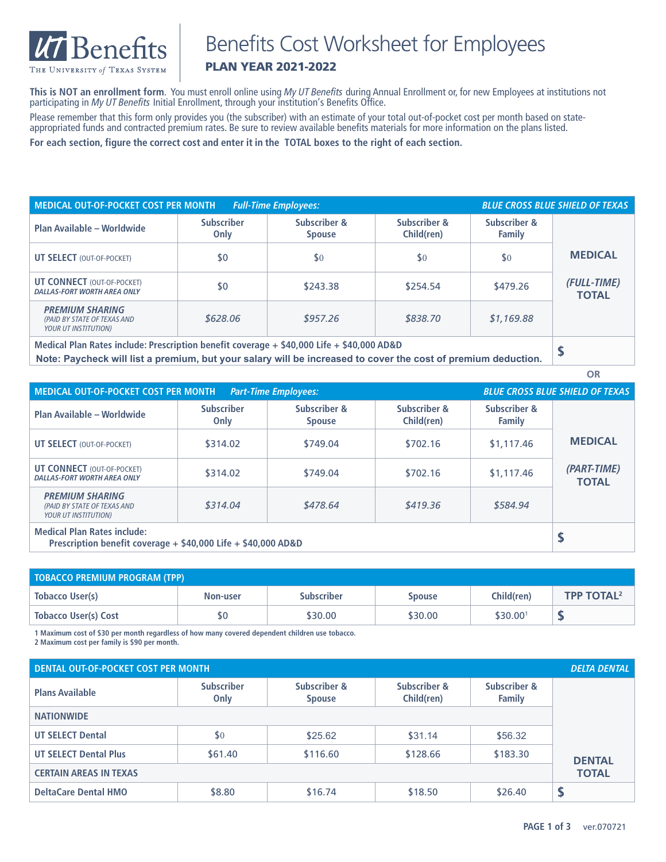

### Benefits Cost Worksheet for Employees

#### PLAN YEAR 2021-2022

**This is NOT an enrollment form**. You must enroll online using *My UT Benefits* during Annual Enrollment or, for new Employees at institutions not participating in *My UT Benefits* Initial Enrollment, through your institution's Benefits Office. Please remember that this form only provides you (the subscriber) with an estimate of your total out-of-pocket cost per month based on stateappropriated funds and contracted premium rates. Be sure to review available benefits materials for more information on the plans listed.

**For each section, figure the correct cost and enter it in the TOTAL boxes to the right of each section.**

| MEDICAL OUT-OF-POCKET COST PER MONTH<br><b>BLUE CROSS BLUE SHIELD OF TEXAS</b><br><b>Full-Time Employees:</b> |                           |                               |                            |                        |                             |
|---------------------------------------------------------------------------------------------------------------|---------------------------|-------------------------------|----------------------------|------------------------|-----------------------------|
| Plan Available - Worldwide                                                                                    | <b>Subscriber</b><br>Only | Subscriber &<br><b>Spouse</b> | Subscriber &<br>Child(ren) | Subscriber &<br>Family |                             |
| <b>UT SELECT (OUT-OF-POCKET)</b>                                                                              | \$0                       | \$0                           | \$0                        | \$0                    | <b>MEDICAL</b>              |
| <b>UT CONNECT (OUT-OF-POCKET)</b><br><b>DALLAS-FORT WORTH AREA ONLY</b>                                       | \$0                       | \$243.38                      | \$254.54                   | \$479.26               | (FULL-TIME)<br><b>TOTAL</b> |
| <b>PREMIUM SHARING</b><br>(PAID BY STATE OF TEXAS AND<br><b>YOUR UT INSTITUTION)</b>                          | \$628.06                  | \$957.26                      | \$838.70                   | \$1,169.88             |                             |
| Medical Plan Bates include: Dressrintian honofit coverage : \$40,000 life : \$40,000 ABRD                     |                           |                               |                            |                        |                             |

**Medical Plan Rates include: Prescription benefit coverage + \$40,000 Life + \$40,000 AD&D \$ Note: Paycheck will list a premium, but your salary will be increased to cover the cost of premium deduction.**

| MEDICAL OUT-OF-POCKET COST PER MONTH<br><b>BLUE CROSS BLUE SHIELD OF TEXAS</b><br><b>Part-Time Employees:</b> |                           |                               |                            |                        |                             |
|---------------------------------------------------------------------------------------------------------------|---------------------------|-------------------------------|----------------------------|------------------------|-----------------------------|
| Plan Available - Worldwide                                                                                    | <b>Subscriber</b><br>Only | Subscriber &<br><b>Spouse</b> | Subscriber &<br>Child(ren) | Subscriber &<br>Family |                             |
| <b>UT SELECT (OUT-OF-POCKET)</b>                                                                              | \$314.02                  | \$749.04                      | \$702.16                   | \$1,117.46             | <b>MEDICAL</b>              |
| <b>UT CONNECT (OUT-OF-POCKET)</b><br><b>DALLAS-FORT WORTH AREA ONLY</b>                                       | \$314.02                  | \$749.04                      | \$702.16                   | \$1,117.46             | (PART-TIME)<br><b>TOTAL</b> |
| <b>PREMIUM SHARING</b><br>(PAID BY STATE OF TEXAS AND<br><b>YOUR UT INSTITUTION)</b>                          | \$314.04                  | \$478.64                      | \$419.36                   | \$584.94               |                             |
| <b>Medical Plan Rates include:</b><br>Prescription benefit coverage $+$ \$40,000 Life $+$ \$40,000 AD&D       |                           |                               |                            |                        |                             |

| <b>TOBACCO PREMIUM PROGRAM (TPP)</b> |          |                   |               |                      |                              |
|--------------------------------------|----------|-------------------|---------------|----------------------|------------------------------|
| Tobacco User(s)                      | Non-user | <b>Subscriber</b> | <b>Spouse</b> | Child(ren)           | <b>TPP TOTAL<sup>2</sup></b> |
| Tobacco User(s) Cost                 |          | \$30.00           | \$30.00       | \$30.00 <sup>1</sup> |                              |

**1 Maximum cost of \$30 per month regardless of how many covered dependent children use tobacco.**

**2 Maximum cost per family is \$90 per month.**

| <b>DENTAL OUT-OF-POCKET COST PER MONTH</b> |                           |                               |                            |                        | <b>DELTA DENTAL</b> |
|--------------------------------------------|---------------------------|-------------------------------|----------------------------|------------------------|---------------------|
| <b>Plans Available</b>                     | <b>Subscriber</b><br>Only | Subscriber &<br><b>Spouse</b> | Subscriber &<br>Child(ren) | Subscriber &<br>Family |                     |
| <b>NATIONWIDE</b>                          |                           |                               |                            |                        |                     |
| <b>UT SELECT Dental</b>                    | \$0                       | \$25.62                       | \$31.14                    | \$56.32                |                     |
| <b>UT SELECT Dental Plus</b>               | \$61.40                   | \$116.60                      | \$128.66                   | \$183.30               | <b>DENTAL</b>       |
| <b>CERTAIN AREAS IN TEXAS</b>              |                           |                               |                            |                        | <b>TOTAL</b>        |
| <b>DeltaCare Dental HMO</b>                | \$8.80                    | \$16.74                       | \$18.50                    | \$26.40                |                     |

**OR**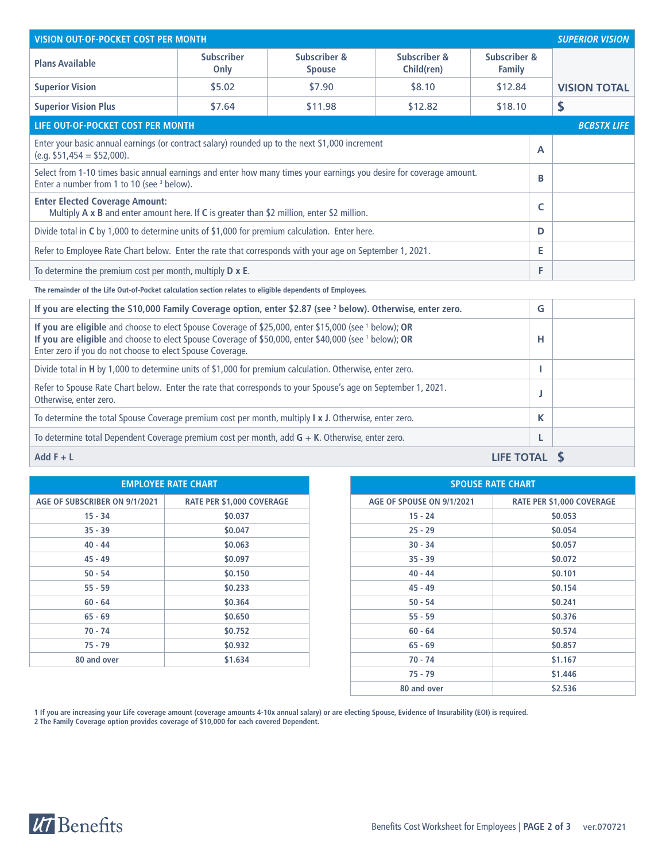| <b>VISION OUT-OF-POCKET COST PER MONTH</b>                                                                                                                                                                                                                                             |                           |                               |                            |                               |    | <b>SUPERIOR VISION</b> |
|----------------------------------------------------------------------------------------------------------------------------------------------------------------------------------------------------------------------------------------------------------------------------------------|---------------------------|-------------------------------|----------------------------|-------------------------------|----|------------------------|
| <b>Plans Available</b>                                                                                                                                                                                                                                                                 | <b>Subscriber</b><br>Only | Subscriber &<br><b>Spouse</b> | Subscriber &<br>Child(ren) | Subscriber &<br><b>Family</b> |    |                        |
| <b>Superior Vision</b>                                                                                                                                                                                                                                                                 | \$5.02                    | \$7.90                        | \$8.10                     | \$12.84                       |    | <b>VISION TOTAL</b>    |
| <b>Superior Vision Plus</b>                                                                                                                                                                                                                                                            | \$7.64                    | \$11.98                       | \$12.82                    | \$18.10                       |    | \$                     |
| LIFE OUT-OF-POCKET COST PER MONTH                                                                                                                                                                                                                                                      |                           |                               |                            |                               |    | <b>BCBSTX LIFE</b>     |
| Enter your basic annual earnings (or contract salary) rounded up to the next \$1,000 increment<br>$(e.g. $51,454 = $52,000).$                                                                                                                                                          |                           |                               |                            |                               | A  |                        |
| Select from 1-10 times basic annual earnings and enter how many times your earnings you desire for coverage amount.<br>Enter a number from 1 to 10 (see <sup>3</sup> below).                                                                                                           |                           |                               |                            |                               | В  |                        |
| <b>Enter Elected Coverage Amount:</b><br>Multiply A x B and enter amount here. If C is greater than \$2 million, enter \$2 million.                                                                                                                                                    |                           |                               |                            |                               |    |                        |
| Divide total in C by 1,000 to determine units of \$1,000 for premium calculation. Enter here.                                                                                                                                                                                          |                           |                               |                            |                               |    |                        |
| Refer to Employee Rate Chart below. Enter the rate that corresponds with your age on September 1, 2021.                                                                                                                                                                                |                           |                               |                            |                               |    |                        |
| To determine the premium cost per month, multiply $D \times E$ .                                                                                                                                                                                                                       |                           |                               |                            |                               | F  |                        |
| The remainder of the Life Out-of-Pocket calculation section relates to eligible dependents of Employees.                                                                                                                                                                               |                           |                               |                            |                               |    |                        |
| If you are electing the \$10,000 Family Coverage option, enter \$2.87 (see <sup>2</sup> below). Otherwise, enter zero.                                                                                                                                                                 |                           |                               |                            |                               | G  |                        |
| If you are eligible and choose to elect Spouse Coverage of \$25,000, enter \$15,000 (see 1 below); OR<br>If you are eligible and choose to elect Spouse Coverage of \$50,000, enter \$40,000 (see <sup>1</sup> below); OR<br>Enter zero if you do not choose to elect Spouse Coverage. |                           |                               |                            |                               | н  |                        |
| Divide total in H by 1,000 to determine units of \$1,000 for premium calculation. Otherwise, enter zero.                                                                                                                                                                               |                           |                               |                            |                               | т. |                        |
| Refer to Spouse Rate Chart below. Enter the rate that corresponds to your Spouse's age on September 1, 2021.<br>Otherwise, enter zero.                                                                                                                                                 |                           |                               |                            |                               | J  |                        |
| To determine the total Spouse Coverage premium cost per month, multiply $\vert x \vert$ . Otherwise, enter zero.                                                                                                                                                                       |                           |                               |                            |                               | K  |                        |
| To determine total Dependent Coverage premium cost per month, add $G + K$ . Otherwise, enter zero.                                                                                                                                                                                     |                           |                               |                            |                               | L  |                        |
| Add $F + L$                                                                                                                                                                                                                                                                            |                           |                               |                            | <b>LIFE TOTAL</b>             |    |                        |

| <b>EMPLOYEE RATE CHART</b>    |                                  |                           | <b>SPOUSE RATE CHART</b>         |
|-------------------------------|----------------------------------|---------------------------|----------------------------------|
| AGE OF SUBSCRIBER ON 9/1/2021 | <b>RATE PER \$1,000 COVERAGE</b> | AGE OF SPOUSE ON 9/1/2021 | <b>RATE PER \$1,000 COVERAGE</b> |
| $15 - 34$                     | \$0.037                          | $15 - 24$                 | \$0.053                          |
| $35 - 39$                     | \$0.047                          | $25 - 29$                 | \$0.054                          |
| $40 - 44$                     | \$0.063                          | $30 - 34$                 | \$0.057                          |
| $45 - 49$                     | \$0.097                          | $35 - 39$                 | \$0.072                          |
| $50 - 54$                     | \$0.150                          | $40 - 44$                 | \$0.101                          |
| $55 - 59$                     | \$0.233                          | $45 - 49$                 | \$0.154                          |
| $60 - 64$                     | \$0.364                          | $50 - 54$                 | \$0.241                          |
| $65 - 69$                     | \$0.650                          | $55 - 59$                 | \$0.376                          |
| $70 - 74$                     | \$0.752                          | $60 - 64$                 | \$0.574                          |
| $75 - 79$                     | \$0.932                          | $65 - 69$                 | \$0.857                          |
| 80 and over                   | \$1.634                          | $70 - 74$                 | \$1.167                          |
|                               |                                  |                           |                                  |

|                           | <b>EMPLOYEE RATE CHART</b>       |
|---------------------------|----------------------------------|
| <b>CRIBER ON 9/1/2021</b> | <b>RATE PER \$1,000 COVERAGE</b> |
| $15 - 34$                 | \$0.037                          |
| $35 - 39$                 | \$0.047                          |
| $40 - 44$                 | \$0.063                          |
| 45 - 49                   | \$0.097                          |
| $50 - 54$                 | \$0.150                          |
| $55 - 59$                 | \$0.233                          |
| $60 - 64$                 | \$0.364                          |
| 65 - 69                   | \$0.650                          |
| 70 - 74                   | \$0.752                          |
| 75 - 79                   | \$0.932                          |
| and over                  | \$1.634                          |
|                           |                                  |
|                           |                                  |

**1 If you are increasing your Life coverage amount (coverage amounts 4-10x annual salary) or are electing Spouse, Evidence of Insurability (EOI) is required.**

**2 The Family Coverage option provides coverage of \$10,000 for each covered Dependent.**